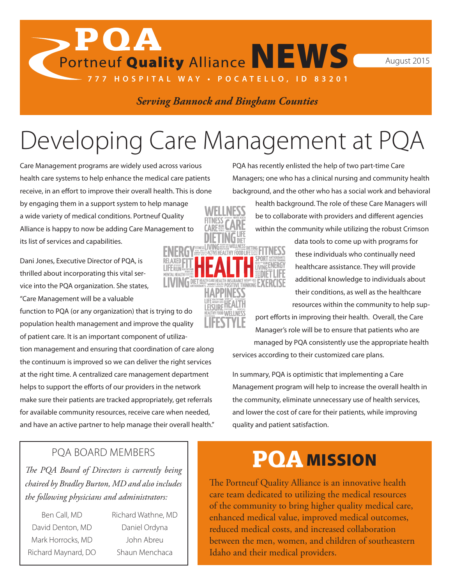*Serving Bannock and Bingham Counties*

**777 HOSPITAL WAY • POCATELLO, ID 83201**

### Developing Care Management at PQA

Care Management programs are widely used across various health care systems to help enhance the medical care patients receive, in an effort to improve their overall health. This is done by engaging them in a support system to help manage a wide variety of medical conditions. Portneuf Quality Alliance is happy to now be adding Care Management to its list of services and capabilities.

 $\mathbf{P}\mathbf{O}\mathbf{A}$ 

Dani Jones, Executive Director of PQA, is thrilled about incorporating this vital service into the PQA organization. She states,

"Care Management will be a valuable

function to PQA (or any organization) that is trying to do population health management and improve the quality of patient care. It is an important component of utilization management and ensuring that coordination of care along the continuum is improved so we can deliver the right services at the right time. A centralized care management department helps to support the efforts of our providers in the network make sure their patients are tracked appropriately, get referrals for available community resources, receive care when needed, and have an active partner to help manage their overall health." PQA has recently enlisted the help of two part-time Care Managers; one who has a clinical nursing and community health background, and the other who has a social work and behavioral

> health background. The role of these Care Managers will be to collaborate with providers and different agencies within the community while utilizing the robust Crimson

> > data tools to come up with programs for these individuals who continually need healthcare assistance. They will provide additional knowledge to individuals about their conditions, as well as the healthcare resources within the community to help sup-

port efforts in improving their health. Overall, the Care Manager's role will be to ensure that patients who are managed by PQA consistently use the appropriate health

services according to their customized care plans.

In summary, PQA is optimistic that implementing a Care Management program will help to increase the overall health in the community, eliminate unnecessary use of health services, and lower the cost of care for their patients, while improving quality and patient satisfaction.

### PQA BOARD MEMBERS

*The PQA Board of Directors is currently being chaired by Bradley Burton, MD and also includes the following physicians and administrators:*

- Ben Call, MD David Denton, MD Mark Horrocks, MD Richard Maynard, DO
- Richard Wathne, MD Daniel Ordyna John Abreu Shaun Menchaca

### PQA MISSION

The Portneuf Quality Alliance is an innovative health care team dedicated to utilizing the medical resources of the community to bring higher quality medical care, enhanced medical value, improved medical outcomes, reduced medical costs, and increased collaboration between the men, women, and children of southeastern Idaho and their medical providers.





# Portneuf Quality Alliance NEWS August 2015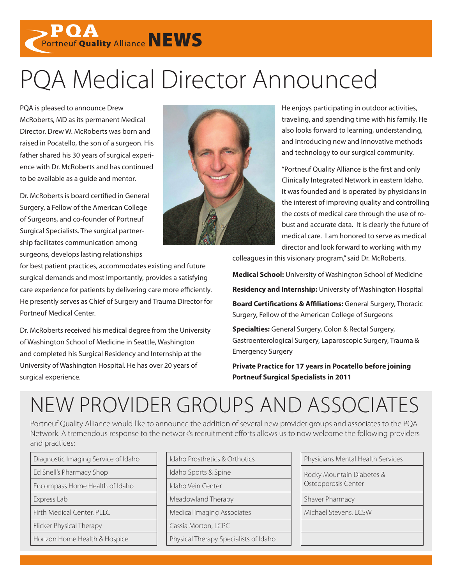**POA**<br>Portneuf Quality Alliance NEWS

## PQA Medical Director Announced

PQA is pleased to announce Drew McRoberts, MD as its permanent Medical Director. Drew W. McRoberts was born and raised in Pocatello, the son of a surgeon. His father shared his 30 years of surgical experience with Dr. McRoberts and has continued to be available as a guide and mentor.

Dr. McRoberts is board certified in General Surgery, a Fellow of the American College of Surgeons, and co-founder of Portneuf Surgical Specialists. The surgical partnership facilitates communication among surgeons, develops lasting relationships



He enjoys participating in outdoor activities, traveling, and spending time with his family. He also looks forward to learning, understanding, and introducing new and innovative methods and technology to our surgical community.

"Portneuf Quality Alliance is the first and only Clinically Integrated Network in eastern Idaho. It was founded and is operated by physicians in the interest of improving quality and controlling the costs of medical care through the use of robust and accurate data. It is clearly the future of medical care. I am honored to serve as medical director and look forward to working with my

for best patient practices, accommodates existing and future surgical demands and most importantly, provides a satisfying care experience for patients by delivering care more efficiently. He presently serves as Chief of Surgery and Trauma Director for Portneuf Medical Center.

Dr. McRoberts received his medical degree from the University of Washington School of Medicine in Seattle, Washington and completed his Surgical Residency and Internship at the University of Washington Hospital. He has over 20 years of surgical experience.

colleagues in this visionary program," said Dr. McRoberts.

**Medical School:** University of Washington School of Medicine

**Residency and Internship:** University of Washington Hospital

**Board Certifications & Affiliations:** General Surgery, Thoracic Surgery, Fellow of the American College of Surgeons

**Specialties:** General Surgery, Colon & Rectal Surgery, Gastroenterological Surgery, Laparoscopic Surgery, Trauma & Emergency Surgery

**Private Practice for 17 years in Pocatello before joining Portneuf Surgical Specialists in 2011**

### NEW PROVIDER GROUPS AND ASSOCIATES

Portneuf Quality Alliance would like to announce the addition of several new provider groups and associates to the PQA Network. A tremendous response to the network's recruitment efforts allows us to now welcome the following providers and practices:

| Diagnostic Imaging Service of Idaho | Idaho Prosthetics & Orthotics         |  |
|-------------------------------------|---------------------------------------|--|
| Ed Snell's Pharmacy Shop            | Idaho Sports & Spine                  |  |
| Encompass Home Health of Idaho      | Idaho Vein Center                     |  |
| Express Lab                         | Meadowland Therapy                    |  |
| Firth Medical Center, PLLC          | Medical Imaging Associates            |  |
| Flicker Physical Therapy            | Cassia Morton, LCPC                   |  |
| Horizon Home Health & Hospice       | Physical Therapy Specialists of Idaho |  |

| Diagnostic Imaging Service of Idaho                      | Idaho Prosthetics & Orthotics            | Physicians Mental Health Services |
|----------------------------------------------------------|------------------------------------------|-----------------------------------|
| Ed Snell's Pharmacy Shop                                 | Idaho Sports & Spine                     | Rocky Mountain Diabetes &         |
| Encompass Home Health of Idaho                           | Osteoporosis Center<br>Idaho Vein Center |                                   |
| Express Lab                                              | Meadowland Therapy                       | Shaver Pharmacy                   |
| Firth Medical Center, PLLC<br>Medical Imaging Associates |                                          | Michael Stevens, LCSW             |
| <b>Flicker Physical Therapy</b>                          | Cassia Morton, LCPC                      |                                   |
| Horizon Home Health & Hospice                            | Physical Therapy Specialists of Idaho    |                                   |
|                                                          |                                          |                                   |

| Physicians Mental Health Services                |
|--------------------------------------------------|
| Rocky Mountain Diabetes &<br>Osteoporosis Center |
| Shaver Pharmacy                                  |
| Michael Stevens, LCSW                            |
|                                                  |
|                                                  |
|                                                  |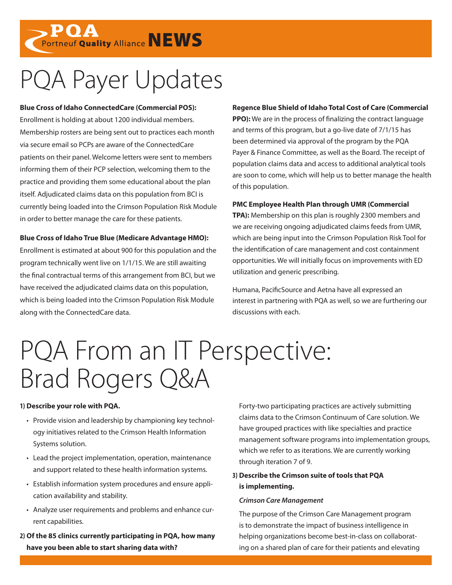**POA**<br>Portneuf Quality Alliance NEWS

## PQA Payer Updates

**Blue Cross of Idaho ConnectedCare (Commercial POS):** Enrollment is holding at about 1200 individual members. Membership rosters are being sent out to practices each month via secure email so PCPs are aware of the ConnectedCare patients on their panel. Welcome letters were sent to members informing them of their PCP selection, welcoming them to the practice and providing them some educational about the plan itself. Adjudicated claims data on this population from BCI is currently being loaded into the Crimson Population Risk Module in order to better manage the care for these patients.

### **Blue Cross of Idaho True Blue (Medicare Advantage HMO):**

Enrollment is estimated at about 900 for this population and the program technically went live on 1/1/15. We are still awaiting the final contractual terms of this arrangement from BCI, but we have received the adjudicated claims data on this population, which is being loaded into the Crimson Population Risk Module along with the ConnectedCare data.

### **Regence Blue Shield of Idaho Total Cost of Care (Commercial**

**PPO):** We are in the process of finalizing the contract language and terms of this program, but a go-live date of 7/1/15 has been determined via approval of the program by the PQA Payer & Finance Committee, as well as the Board. The receipt of population claims data and access to additional analytical tools are soon to come, which will help us to better manage the health of this population.

#### **PMC Employee Health Plan through UMR (Commercial**

**TPA):** Membership on this plan is roughly 2300 members and we are receiving ongoing adjudicated claims feeds from UMR, which are being input into the Crimson Population Risk Tool for the identification of care management and cost containment opportunities. We will initially focus on improvements with ED utilization and generic prescribing.

Humana, PacificSource and Aetna have all expressed an interest in partnering with PQA as well, so we are furthering our discussions with each.

### PQA From an IT Perspective: Brad Rogers Q&A

#### **1) Describe your role with PQA.**

- Provide vision and leadership by championing key technology initiatives related to the Crimson Health Information Systems solution.
- Lead the project implementation, operation, maintenance and support related to these health information systems.
- Establish information system procedures and ensure application availability and stability.
- Analyze user requirements and problems and enhance current capabilities.
- **2) Of the 85 clinics currently participating in PQA, how many have you been able to start sharing data with?**

Forty-two participating practices are actively submitting claims data to the Crimson Continuum of Care solution. We have grouped practices with like specialties and practice management software programs into implementation groups, which we refer to as iterations. We are currently working through iteration 7 of 9.

### **3) Describe the Crimson suite of tools that PQA is implementing.**

#### *Crimson Care Management*

The purpose of the Crimson Care Management program is to demonstrate the impact of business intelligence in helping organizations become best-in-class on collaborating on a shared plan of care for their patients and elevating